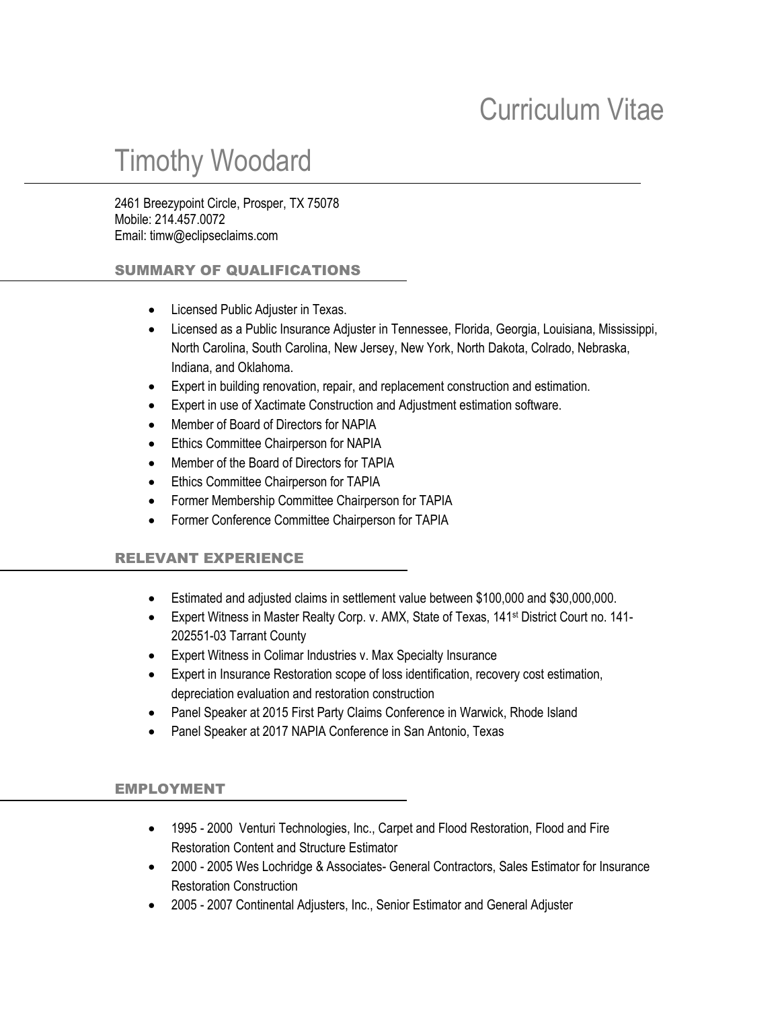## Curriculum Vitae

# Timothy Woodard

2461 Breezypoint Circle, Prosper, TX 75078 Mobile: 214.457.0072 Email: timw@eclipseclaims.com

#### SUMMARY OF QUALIFICATIONS

- Licensed Public Adjuster in Texas.
- Licensed as a Public Insurance Adjuster in Tennessee, Florida, Georgia, Louisiana, Mississippi, North Carolina, South Carolina, New Jersey, New York, North Dakota, Colrado, Nebraska, Indiana, and Oklahoma.
- Expert in building renovation, repair, and replacement construction and estimation.
- Expert in use of Xactimate Construction and Adjustment estimation software.
- Member of Board of Directors for NAPIA
- **•** Ethics Committee Chairperson for NAPIA
- Member of the Board of Directors for TAPIA
- **Ethics Committee Chairperson for TAPIA**
- Former Membership Committee Chairperson for TAPIA
- Former Conference Committee Chairperson for TAPIA

#### RELEVANT EXPERIENCE

- Estimated and adjusted claims in settlement value between \$100,000 and \$30,000,000.
- Expert Witness in Master Realty Corp. v. AMX, State of Texas, 141<sup>st</sup> District Court no. 141-202551-03 Tarrant County
- Expert Witness in Colimar Industries v. Max Specialty Insurance
- Expert in Insurance Restoration scope of loss identification, recovery cost estimation, depreciation evaluation and restoration construction
- Panel Speaker at 2015 First Party Claims Conference in Warwick, Rhode Island
- Panel Speaker at 2017 NAPIA Conference in San Antonio, Texas

#### EMPLOYMENT

- 1995 2000 Venturi Technologies, Inc., Carpet and Flood Restoration, Flood and Fire Restoration Content and Structure Estimator
- 2000 2005 Wes Lochridge & Associates- General Contractors, Sales Estimator for Insurance Restoration Construction
- 2005 2007 Continental Adjusters, Inc., Senior Estimator and General Adjuster